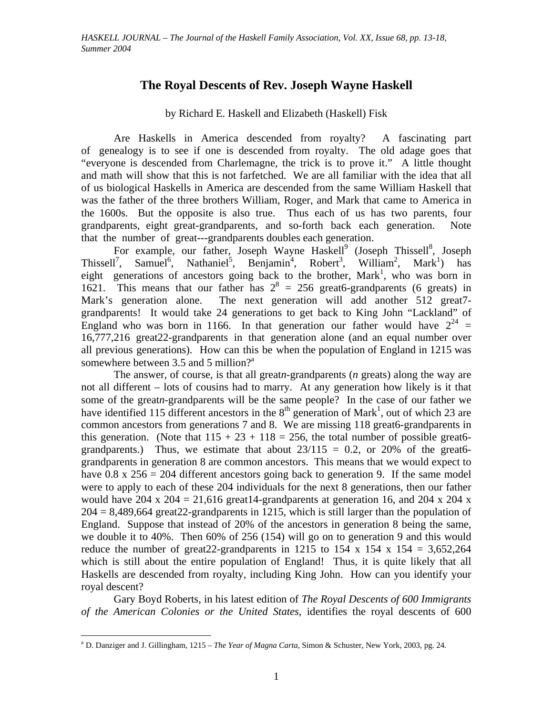## **The Royal Descents of Rev. Joseph Wayne Haskell**

by Richard E. Haskell and Elizabeth (Haskell) Fisk

Are Haskells in America descended from royalty? A fascinating part of genealogy is to see if one is descended from royalty. The old adage goes that "everyone is descended from Charlemagne, the trick is to prove it." A little thought and math will show that this is not farfetched. We are all familiar with the idea that all of us biological Haskells in America are descended from the same William Haskell that was the father of the three brothers William, Roger, and Mark that came to America in the 1600s. But the opposite is also true. Thus each of us has two parents, four grandparents, eight great-grandparents, and so-forth back each generation. Note that the number of great---grandparents doubles each generation.

For example, our father, Joseph Wayne Haskell<sup>9</sup> (Joseph Thissell<sup>8</sup>, Joseph Thissell<sup>7</sup>, Samuel<sup>6</sup>, Nathaniel<sup>5</sup>, Benjamin<sup>4</sup>, Robert<sup>3</sup>, William<sup>2</sup>, Mark<sup>1</sup>) has eight generations of ancestors going back to the brother, Mark<sup>1</sup>, who was born in 1621. This means that our father has  $2^8 = 256$  great6-grandparents (6 greats) in Mark's generation alone. The next generation will add another 512 great7grandparents! It would take 24 generations to get back to King John "Lackland" of England who was born in 1166. In that generation our father would have  $2^{24}$  = 16,777,216 great22-grandparents in that generation alone (and an equal number over all previous generations). How can this be when the population of England in 1215 was somewhere between 3.5 and 5 million?<sup>a</sup>

The answer, of course, is that all great*n*-grandparents (*n* greats) along the way are not all different – lots of cousins had to marry. At any generation how likely is it that some of the great*n*-grandparents will be the same people? In the case of our father we have identified 115 different ancestors in the  $8<sup>th</sup>$  generation of Mark<sup>1</sup>, out of which 23 are common ancestors from generations 7 and 8. We are missing 118 great6-grandparents in this generation. (Note that  $115 + 23 + 118 = 256$ , the total number of possible great6grandparents.) Thus, we estimate that about  $23/115 = 0.2$ , or 20% of the great6grandparents in generation 8 are common ancestors. This means that we would expect to have  $0.8 \times 256 = 204$  different ancestors going back to generation 9. If the same model were to apply to each of these 204 individuals for the next 8 generations, then our father would have 204 x  $204 = 21,616$  great 14-grandparents at generation 16, and 204 x 204 x  $204 = 8,489,664$  great  $22$ -grandparents in 1215, which is still larger than the population of England. Suppose that instead of 20% of the ancestors in generation 8 being the same, we double it to 40%. Then 60% of 256 (154) will go on to generation 9 and this would reduce the number of great 22-grandparents in 1215 to 154 x 154 x 154 = 3,652,264 which is still about the entire population of England! Thus, it is quite likely that all Haskells are descended from royalty, including King John. How can you identify your royal descent?

Gary Boyd Roberts, in his latest edition of *The Royal Descents of 600 Immigrants of the American Colonies or the United States*, identifies the royal descents of 600

a D. Danziger and J. Gillingham, 1215 – *The Year of Magna Carta*, Simon & Schuster, New York, 2003, pg. 24.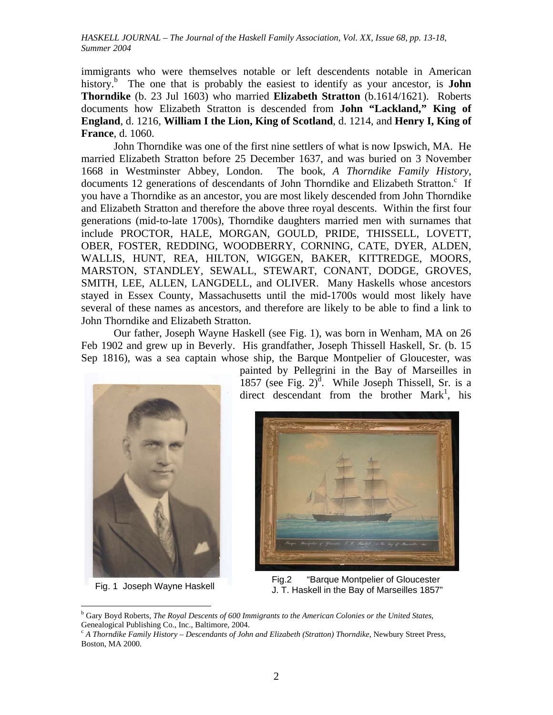immigrants who were themselves notable or left descendents notable in American history.<sup>b</sup> The one that is probably the easiest to identify as your ancestor, is **John Thorndike** (b. 23 Jul 1603) who married **Elizabeth Stratton** (b.1614/1621). Roberts documents how Elizabeth Stratton is descended from **John "Lackland," King of England**, d. 1216, **William I the Lion, King of Scotland**, d. 1214, and **Henry I, King of France**, d. 1060.

John Thorndike was one of the first nine settlers of what is now Ipswich, MA. He married Elizabeth Stratton before 25 December 1637, and was buried on 3 November 1668 in Westminster Abbey, London. The book, *A Thorndike Family History*, documents 12 generations of descendants of John Thorndike and Elizabeth Stratton.<sup>c</sup> If you have a Thorndike as an ancestor, you are most likely descended from John Thorndike and Elizabeth Stratton and therefore the above three royal descents. Within the first four generations (mid-to-late 1700s), Thorndike daughters married men with surnames that include PROCTOR, HALE, MORGAN, GOULD, PRIDE, THISSELL, LOVETT, OBER, FOSTER, REDDING, WOODBERRY, CORNING, CATE, DYER, ALDEN, WALLIS, HUNT, REA, HILTON, WIGGEN, BAKER, KITTREDGE, MOORS, MARSTON, STANDLEY, SEWALL, STEWART, CONANT, DODGE, GROVES, SMITH, LEE, ALLEN, LANGDELL, and OLIVER. Many Haskells whose ancestors stayed in Essex County, Massachusetts until the mid-1700s would most likely have several of these names as ancestors, and therefore are likely to be able to find a link to John Thorndike and Elizabeth Stratton.

Our father, Joseph Wayne Haskell (see Fig. 1), was born in Wenham, MA on 26 Feb 1902 and grew up in Beverly. His grandfather, Joseph Thissell Haskell, Sr. (b. 15 Sep 1816), was a sea captain whose ship, the Barque Montpelier of Gloucester, was



painted by Pellegrini in the Bay of Marseilles in 1857 (see Fig.  $2)^d$ . While Joseph Thissell, Sr. is a direct descendant from the brother  $Mark<sup>1</sup>$ , his



 Fig.2 "Barque Montpelier of Gloucester Fig. 1 Joseph Wayne Haskell J. T. Haskell in the Bay of Marseilles 1857"

b Gary Boyd Roberts, *The Royal Descents of 600 Immigrants to the American Colonies or the United States*, Genealogical Publishing Co., Inc., Baltimore, 2004.<br><sup>c</sup> A Thorndike Family History – Descendants of John and Elizabeth (Stratton) Thorndike, Newbury Street Press,

Boston, MA 2000.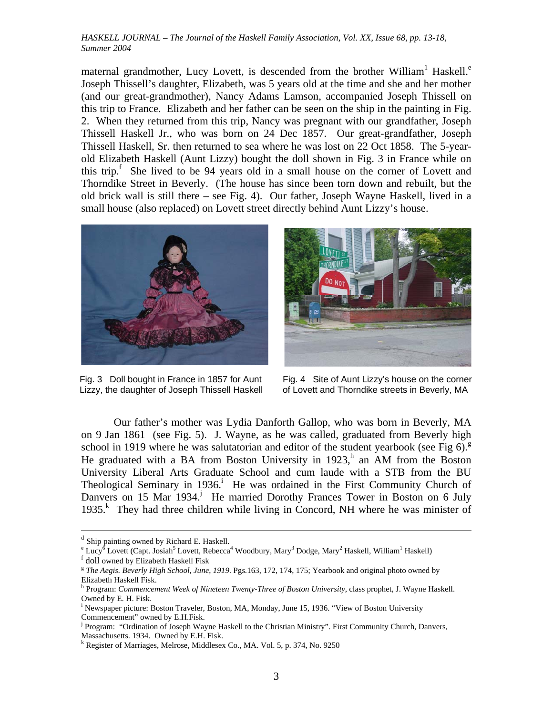maternal grandmother, Lucy Lovett, is descended from the brother William<sup>1</sup> Haskell.<sup>e</sup> Joseph Thissell's daughter, Elizabeth, was 5 years old at the time and she and her mother (and our great-grandmother), Nancy Adams Lamson, accompanied Joseph Thissell on this trip to France. Elizabeth and her father can be seen on the ship in the painting in Fig. 2. When they returned from this trip, Nancy was pregnant with our grandfather, Joseph Thissell Haskell Jr., who was born on 24 Dec 1857. Our great-grandfather, Joseph Thissell Haskell, Sr. then returned to sea where he was lost on 22 Oct 1858. The 5-yearold Elizabeth Haskell (Aunt Lizzy) bought the doll shown in Fig. 3 in France while on this trip.<sup>f</sup> She lived to be 94 years old in a small house on the corner of Lovett and Thorndike Street in Beverly. (The house has since been torn down and rebuilt, but the old brick wall is still there – see Fig. 4). Our father, Joseph Wayne Haskell, lived in a small house (also replaced) on Lovett street directly behind Aunt Lizzy's house.



Fig. 3 Doll bought in France in 1857 for Aunt Lizzy, the daughter of Joseph Thissell Haskell



Fig. 4 Site of Aunt Lizzy's house on the corner of Lovett and Thorndike streets in Beverly, MA

Our father's mother was Lydia Danforth Gallop, who was born in Beverly, MA on 9 Jan 1861 (see Fig. 5). J. Wayne, as he was called, graduated from Beverly high school in 1919 where he was salutatorian and editor of the student yearbook (see Fig  $6$ ).<sup>g</sup> He graduated with a BA from Boston University in  $1923$ , an AM from the Boston University Liberal Arts Graduate School and cum laude with a STB from the BU Theological Seminary in 1936.<sup>i</sup> He was ordained in the First Community Church of Danvers on 15 Mar 1934.<sup>j</sup> He married Dorothy Frances Tower in Boston on 6 July 1935.<sup>k</sup> They had three children while living in Concord, NH where he was minister of

d Ship painting owned by Richard E. Haskell.

<sup>&</sup>lt;sup>e</sup> Lucy<sup>6</sup> Lovett (Capt. Josiah<sup>5</sup> Lovett, Rebecca<sup>4</sup> Woodbury, Mary<sup>3</sup> Dodge, Mary<sup>2</sup> Haskell, William<sup>1</sup> Haskell)<br><sup>f</sup> doll awned by Elizabeth Haskell Fisk

<sup>&</sup>lt;sup>f</sup> doll owned by Elizabeth Haskell Fisk<br><sup>g</sup> *The Aegis. Beverly High School, June, 1919*. Pgs.163, 172, 174, 175; Yearbook and original photo owned by Elizabeth Haskell Fisk.

h Program: *Commencement Week of Nineteen Twenty-Three of Boston University*, class prophet, J. Wayne Haskell. Owned by E. H. Fisk.

i Newspaper picture: Boston Traveler, Boston, MA, Monday, June 15, 1936. "View of Boston University Commencement" owned by E.H.Fisk.

<sup>&</sup>lt;sup>j</sup> Program: "Ordination of Joseph Wayne Haskell to the Christian Ministry". First Community Church, Danvers, Massachusetts. 1934. Owned by E.H. Fisk.

k Register of Marriages, Melrose, Middlesex Co., MA. Vol. 5, p. 374, No. 9250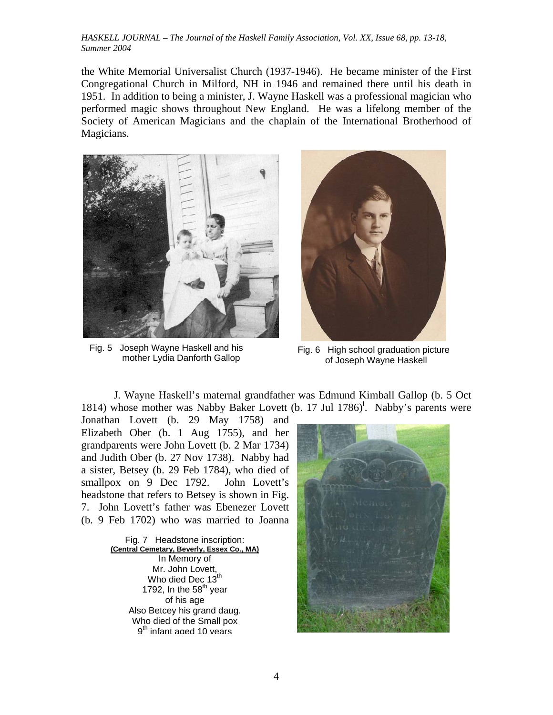the White Memorial Universalist Church (1937-1946). He became minister of the First Congregational Church in Milford, NH in 1946 and remained there until his death in 1951. In addition to being a minister, J. Wayne Haskell was a professional magician who performed magic shows throughout New England. He was a lifelong member of the Society of American Magicians and the chaplain of the International Brotherhood of Magicians.



Fig. 5 Joseph Wayne Haskell and his



Joseph Wayne Haskell and his Fig. 6 High school graduation picture<br>mother Lydia Danforth Gallop of Joseph Wayne Haskell of Joseph Wayne Haskell

J. Wayne Haskell's maternal grandfather was Edmund Kimball Gallop (b. 5 Oct 1814) whose mother was Nabby Baker Lovett (b. 17 Jul 1786)<sup>1</sup>. Nabby's parents were

Jonathan Lovett (b. 29 May 1758) and Elizabeth Ober (b. 1 Aug 1755), and her grandparents were John Lovett (b. 2 Mar 1734) and Judith Ober (b. 27 Nov 1738). Nabby had a sister, Betsey (b. 29 Feb 1784), who died of smallpox on 9 Dec 1792. John Lovett's headstone that refers to Betsey is shown in Fig. 7. John Lovett's father was Ebenezer Lovett (b. 9 Feb 1702) who was married to Joanna

> Fig. 7 Headstone inscription: **(Central Cemetary, Beverly, Essex Co., MA)** In Memory of Mr. John Lovett, Who died Dec 13<sup>th</sup> 1792, In the  $58<sup>th</sup>$  year of his age Also Betcey his grand daug. Who died of the Small pox 9<sup>th</sup> infant aged 10 years

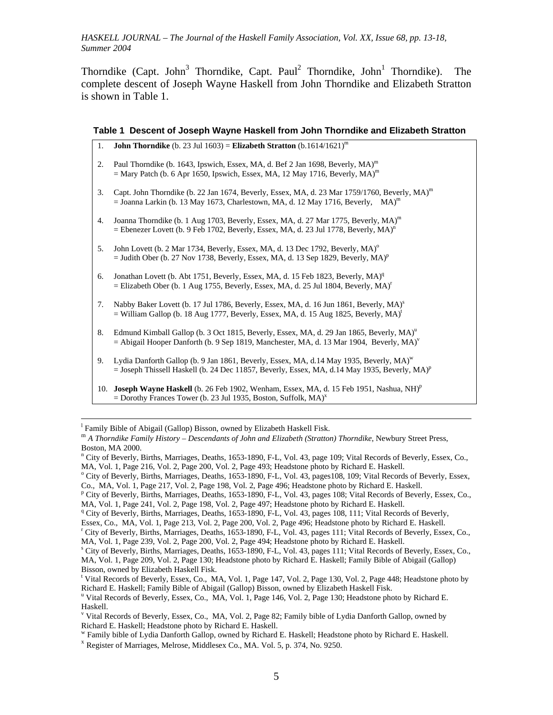Thorndike (Capt. John<sup>3</sup> Thorndike, Capt. Paul<sup>2</sup> Thorndike, John<sup>1</sup> Thorndike). The complete descent of Joseph Wayne Haskell from John Thorndike and Elizabeth Stratton is shown in Table 1.

| Table 1 Descent of Joseph Wayne Haskell from John Thorndike and Elizabeth Stratton |  |  |
|------------------------------------------------------------------------------------|--|--|
|                                                                                    |  |  |

| 1.  | <b>John Thorndike</b> (b. 23 Jul 1603) = <b>Elizabeth Stratton</b> (b.1614/1621) <sup>m</sup>                                                                                                                    |
|-----|------------------------------------------------------------------------------------------------------------------------------------------------------------------------------------------------------------------|
| 2.  | Paul Thorndike (b. 1643, Ipswich, Essex, MA, d. Bef 2 Jan 1698, Beverly, MA) <sup>m</sup><br>= Mary Patch (b. 6 Apr 1650, Ipswich, Essex, MA, 12 May 1716, Beverly, MA) <sup>m</sup>                             |
| 3.  | Capt. John Thorndike (b. 22 Jan 1674, Beverly, Essex, MA, d. 23 Mar 1759/1760, Beverly, $MA$ ) <sup>m</sup><br>$=$ Joanna Larkin (b. 13 May 1673, Charlestown, MA, d. 12 May 1716, Beverly, MA) <sup>m</sup>     |
| 4.  | Joanna Thorndike (b. 1 Aug 1703, Beverly, Essex, MA, d. 27 Mar 1775, Beverly, MA) <sup>m</sup><br>= Ebenezer Lovett (b. 9 Feb 1702, Beverly, Essex, MA, d. 23 Jul 1778, Beverly, MA) <sup>n</sup>                |
| 5.  | John Lovett (b. 2 Mar 1734, Beverly, Essex, MA, d. 13 Dec 1792, Beverly, MA) <sup>o</sup><br>$=$ Judith Ober (b. 27 Nov 1738, Beverly, Essex, MA, d. 13 Sep 1829, Beverly, MA) <sup>p</sup>                      |
| 6.  | Jonathan Lovett (b. Abt 1751, Beverly, Essex, MA, d. 15 Feb 1823, Beverly, MA) <sup>q</sup><br>$=$ Elizabeth Ober (b. 1 Aug 1755, Beverly, Essex, MA, d. 25 Jul 1804, Beverly, MA) <sup>r</sup>                  |
| 7.  | Nabby Baker Lovett (b. 17 Jul 1786, Beverly, Essex, MA, d. 16 Jun 1861, Beverly, MA) <sup>s</sup><br>$=$ William Gallop (b. 18 Aug 1777, Beverly, Essex, MA, d. 15 Aug 1825, Beverly, MA) <sup>t</sup>           |
| 8.  | Edmund Kimball Gallop (b. 3 Oct 1815, Beverly, Essex, MA, d. 29 Jan 1865, Beverly, MA) <sup>u</sup><br>$=$ Abigail Hooper Danforth (b. 9 Sep 1819, Manchester, MA, d. 13 Mar 1904, Beverly, MA) <sup>v</sup>     |
| 9.  | Lydia Danforth Gallop (b. 9 Jan 1861, Beverly, Essex, MA, d.14 May 1935, Beverly, MA) <sup>w</sup><br>$=$ Joseph Thissell Haskell (b. 24 Dec 11857, Beverly, Essex, MA, d.14 May 1935, Beverly, MA) <sup>p</sup> |
| 10. | Joseph Wayne Haskell (b. 26 Feb 1902, Wenham, Essex, MA, d. 15 Feb 1951, Nashua, NH) <sup>p</sup><br>= Dorothy Frances Tower (b. 23 Jul 1935, Boston, Suffolk, $MA$ ) <sup>x</sup>                               |

 $\frac{1}{1}$ <sup>1</sup> Family Bible of Abigail (Gallop) Bisson, owned by Elizabeth Haskell Fisk.

<sup>m</sup> *A Thorndike Family History – Descendants of John and Elizabeth (Stratton) Thorndike*, Newbury Street Press, Boston, MA 2000.

<sup>r</sup> City of Beverly, Births, Marriages, Deaths, 1653-1890, F-L, Vol. 43, pages 111; Vital Records of Beverly, Essex, Co., MA, Vol. 1, Page 239, Vol. 2, Page 200, Vol. 2, Page 494; Headstone photo by Richard E. Haskell.

n City of Beverly, Births, Marriages, Deaths, 1653-1890, F-L, Vol. 43, page 109; Vital Records of Beverly, Essex, Co., MA, Vol. 1, Page 216, Vol. 2, Page 200, Vol. 2, Page 493; Headstone photo by Richard E. Haskell.

<sup>&</sup>lt;sup>o</sup> City of Beverly, Births, Marriages, Deaths, 1653-1890, F-L, Vol. 43, pages108, 109; Vital Records of Beverly, Essex, Co., MA, Vol. 1, Page 217, Vol. 2, Page 198, Vol. 2, Page 496; Headstone photo by Richard E. Haskell.

<sup>&</sup>lt;sup>p</sup> City of Beverly, Births, Marriages, Deaths, 1653-1890, F-L, Vol. 43, pages 108; Vital Records of Beverly, Essex, Co., MA, Vol. 1, Page 241, Vol. 2, Page 198, Vol. 2, Page 497; Headstone photo by Richard E. Haskell.

<sup>&</sup>lt;sup>q</sup> City of Beverly, Births, Marriages, Deaths, 1653-1890, F-L, Vol. 43, pages 108, 111; Vital Records of Beverly,

Essex, Co., MA, Vol. 1, Page 213, Vol. 2, Page 200, Vol. 2, Page 496; Headstone photo by Richard E. Haskell.

<sup>&</sup>lt;sup>s</sup> City of Beverly, Births, Marriages, Deaths, 1653-1890, F-L, Vol. 43, pages 111; Vital Records of Beverly, Essex, Co., MA, Vol. 1, Page 209, Vol. 2, Page 130; Headstone photo by Richard E. Haskell; Family Bible of Abigail (Gallop) Bisson, owned by Elizabeth Haskell Fisk.

t Vital Records of Beverly, Essex, Co., MA, Vol. 1, Page 147, Vol. 2, Page 130, Vol. 2, Page 448; Headstone photo by Richard E. Haskell; Family Bible of Abigail (Gallop) Bisson, owned by Elizabeth Haskell Fisk. u

<sup>&</sup>lt;sup>u</sup> Vital Records of Beverly, Essex, Co., MA, Vol. 1, Page 146, Vol. 2, Page 130; Headstone photo by Richard E. Haskell.

v Vital Records of Beverly, Essex, Co., MA, Vol. 2, Page 82; Family bible of Lydia Danforth Gallop, owned by Richard E. Haskell; Headstone photo by Richard E. Haskell.

<sup>&</sup>lt;sup>w</sup> Family bible of Lydia Danforth Gallop, owned by Richard E. Haskell; Headstone photo by Richard E. Haskell.  $^{x}$  Register of Marriages, Melrose, Middlesex Co., MA. Vol. 5, p. 374, No. 9250.